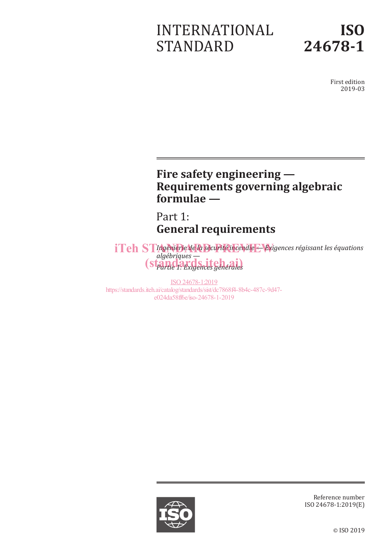# INTERNATIONAL STANDARD



First edition 2019-03

### **Fire safety engineering — Requirements governing algebraic formulae —**

Part 1: **General requirements**

*ITeh STIngénierie de la sécurité incendie + Exigences régissant les équations algébriques — Partie 1: Exigences générales* (standards.iteh.ai)

ISO 24678-1:2019 https://standards.iteh.ai/catalog/standards/sist/dc7868f4-8b4c-487c-9d47 e024da58ff6e/iso-24678-1-2019



Reference number ISO 24678-1:2019(E)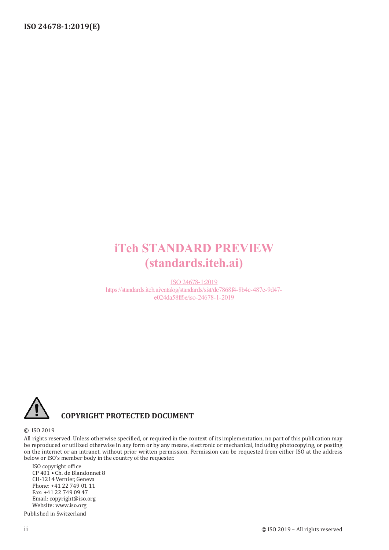# iTeh STANDARD PREVIEW (standards.iteh.ai)

ISO 24678-1:2019 https://standards.iteh.ai/catalog/standards/sist/dc7868f4-8b4c-487c-9d47 e024da58ff6e/iso-24678-1-2019



### **COPYRIGHT PROTECTED DOCUMENT**

#### © ISO 2019

All rights reserved. Unless otherwise specified, or required in the context of its implementation, no part of this publication may be reproduced or utilized otherwise in any form or by any means, electronic or mechanical, including photocopying, or posting on the internet or an intranet, without prior written permission. Permission can be requested from either ISO at the address below or ISO's member body in the country of the requester.

ISO copyright office CP 401 • Ch. de Blandonnet 8 CH-1214 Vernier, Geneva Phone: +41 22 749 01 11 Fax: +41 22 749 09 47 Email: copyright@iso.org Website: www.iso.org

Published in Switzerland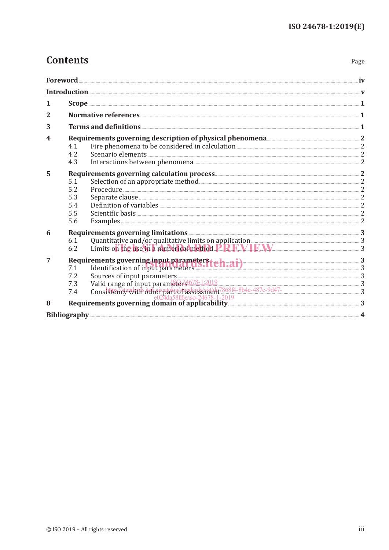Page

### **Contents**

|   | $\overline{\mathbf{For} \mathbf{eword}}$ . The matrix of the contract of the contract of the contract of the contract of the contract of the contract of the contract of the contract of the contract of the contract of the contract of the contra                      |  |
|---|--------------------------------------------------------------------------------------------------------------------------------------------------------------------------------------------------------------------------------------------------------------------------|--|
|   |                                                                                                                                                                                                                                                                          |  |
| 1 |                                                                                                                                                                                                                                                                          |  |
| 2 |                                                                                                                                                                                                                                                                          |  |
| 3 |                                                                                                                                                                                                                                                                          |  |
| 4 | Requirements governing description of physical phenomena <b>Entity Contract 2</b><br>4.1<br>4.2<br>4.3                                                                                                                                                                   |  |
| 5 | 5.1<br>5.2<br>5.3<br>5.4<br>5.5<br>Examples 2008 and 2008 and 2008 and 2008 and 2008 and 2008 and 2008 and 2008 and 2008 and 2008 and 2008 and 2008 and 2008 and 2008 and 2008 and 2008 and 2008 and 2008 and 2008 and 2008 and 2008 and 2008 and 2008 and 2008 a<br>5.6 |  |
| 6 | Requirements governing limitations <b>Manufactions</b> 3<br>Quantitative and/or qualitative limits on application<br>Limits on the use in a numerical method. <b>P.P.P.M. IBM</b><br>6.1<br>6.2                                                                          |  |
| 7 | Requirements governing input parameters (1.21)<br>7.1 Identification of input parameters (1.21)<br>Sources of input parameters 33<br>7.2                                                                                                                                 |  |
| 8 |                                                                                                                                                                                                                                                                          |  |
|   |                                                                                                                                                                                                                                                                          |  |
|   |                                                                                                                                                                                                                                                                          |  |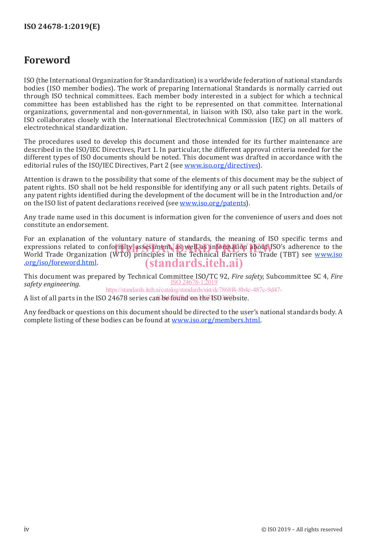### **Foreword**

ISO (the International Organization for Standardization) is a worldwide federation of national standards bodies (ISO member bodies). The work of preparing International Standards is normally carried out through ISO technical committees. Each member body interested in a subject for which a technical committee has been established has the right to be represented on that committee. International organizations, governmental and non-governmental, in liaison with ISO, also take part in the work. ISO collaborates closely with the International Electrotechnical Commission (IEC) on all matters of electrotechnical standardization.

The procedures used to develop this document and those intended for its further maintenance are described in the ISO/IEC Directives, Part 1. In particular, the different approval criteria needed for the different types of ISO documents should be noted. This document was drafted in accordance with the editorial rules of the ISO/IEC Directives, Part 2 (see www.iso.org/directives).

Attention is drawn to the possibility that some of the elements of this document may be the subject of patent rights. ISO shall not be held responsible for identifying any or all such patent rights. Details of any patent rights identified during the development of the document will be in the Introduction and/or on the ISO list of patent declarations received (see www.iso.org/patents).

Any trade name used in this document is information given for the convenience of users and does not constitute an endorsement.

For an explanation of the voluntary nature of standards, the meaning of ISO specific terms and expressions related to conformity assessment, as well as information about ISO's adherence to the expressions of the Water of the Technical Barriers to Trade (TBT) see www.iso. World Trade Organization (WTO) principles in the Technical Barriers to Trade (TBT) see www.iso .org/iso/foreword.html. (standards.iteh.ai)

This document was prepared by Technical Committee ISO/TC 92, *Fire safety,* Subcommittee SC 4, *Fire*  ISO 24678-1:2019 *safety engineering.*

https://standards.iteh.ai/catalog/standards/sist/dc7868f4-8b4c-487c-9d47-

A list of all parts in the ISO 24678 series can be found on the ISO website.

Any feedback or questions on this document should be directed to the user's national standards body. A complete listing of these bodies can be found at www.iso.org/members.html.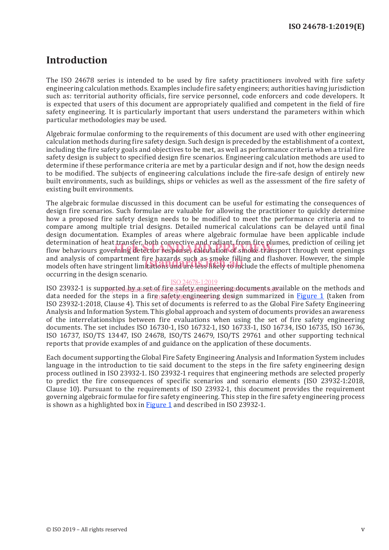### **Introduction**

The ISO 24678 series is intended to be used by fire safety practitioners involved with fire safety engineering calculation methods. Examples include fire safety engineers; authorities having jurisdiction such as: territorial authority officials, fire service personnel, code enforcers and code developers. It is expected that users of this document are appropriately qualified and competent in the field of fire safety engineering. It is particularly important that users understand the parameters within which particular methodologies may be used.

Algebraic formulae conforming to the requirements of this document are used with other engineering calculation methods during fire safety design. Such design is preceded by the establishment of a context, including the fire safety goals and objectives to be met, as well as performance criteria when a trial fire safety design is subject to specified design fire scenarios. Engineering calculation methods are used to determine if these performance criteria are met by a particular design and if not, how the design needs to be modified. The subjects of engineering calculations include the fire-safe design of entirely new built environments, such as buildings, ships or vehicles as well as the assessment of the fire safety of existing built environments.

The algebraic formulae discussed in this document can be useful for estimating the consequences of design fire scenarios. Such formulae are valuable for allowing the practitioner to quickly determine how a proposed fire safety design needs to be modified to meet the performance criteria and to compare among multiple trial designs. Detailed numerical calculations can be delayed until final design documentation. Examples of areas where algebraic formulae have been applicable include determination of heat transfer, both convective and radiant, from fire plumes, prediction of ceiling jet determination of heat transfer, both convective and radiant, from tire plumes, prediction of celling jet<br>flow behaviours governing detector response, calculation of smoke transport through vent openings and analysis of compartment fire hazards such as smoke filling and flashover. However, the simple and analysis of compartment fire hazards such as smoke filling and flashover. However, the simple models often have stringent limitations and are less likely to include the effects of multiple phenomena occurring in the design scenario.

#### ISO 24678-1:2019

ISO 23932-1 is supported by a set of the satety engineering documents available on the methods and data needed for the steps in a fire safety engineering design summarized in <u>Figure 1</u> (taken from ISO 23932-1:2018, Clause 4). This set of documents is referred to as the Global Fire Safety Engineering Analysis and Information System. This global approach and system of documents provides an awareness of the interrelationships between fire evaluations when using the set of fire safety engineering documents. The set includes ISO 16730-1, ISO 16732-1, ISO 16733-1, ISO 16734, ISO 16735, ISO 16736, ISO 16737, ISO/TS 13447, ISO 24678, ISO/TS 24679, ISO/TS 29761 and other supporting technical reports that provide examples of and guidance on the application of these documents.

Each document supporting the Global Fire Safety Engineering Analysis and Information System includes language in the introduction to tie said document to the steps in the fire safety engineering design process outlined in ISO 23932-1. ISO 23932-1 requires that engineering methods are selected properly to predict the fire consequences of specific scenarios and scenario elements (ISO 23932-1:2018, Clause 10). Pursuant to the requirements of ISO 23932-1, this document provides the requirement governing algebraic formulae for fire safety engineering. This step in the fire safety engineering process is shown as a highlighted box in Figure 1 and described in ISO 23932-1.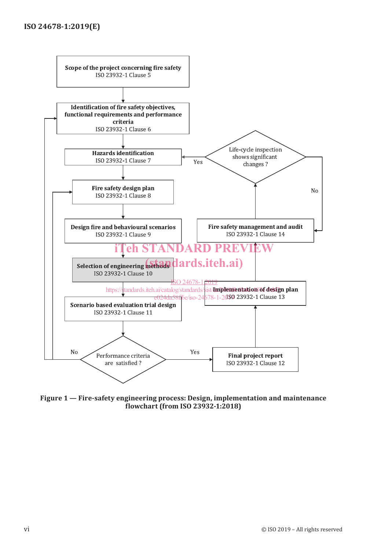

**Figure 1 — Fire-safety engineering process: Design, implementation and maintenance flowchart (from ISO 23932-1:2018)**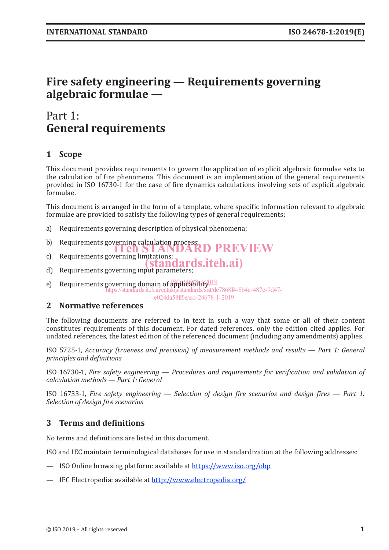### **Fire safety engineering — Requirements governing algebraic formulae —**

### Part 1: **General requirements**

### **1 Scope**

This document provides requirements to govern the application of explicit algebraic formulae sets to the calculation of fire phenomena. This document is an implementation of the general requirements provided in ISO 16730-1 for the case of fire dynamics calculations involving sets of explicit algebraic formulae.

This document is arranged in the form of a template, where specific information relevant to algebraic formulae are provided to satisfy the following types of general requirements:

- a) Requirements governing description of physical phenomena;
- b) Requirements governing calculation process;<br> **ENSTANDARD PREVIEW**
- 
- c) Requirements governing limitations;<br> **(standards.iteh.ai)**
- d) Requirements governing input parameters;
- e) Requirements governing domain of  $\frac{1}{2}$ BBBCC  $\frac{2}{3}$ https://standards.iteh.ai/catalog/standards/sist/dc7868f4-8b4c-487c-9d47 e024da58ff6e/iso-24678-1-2019

#### **2 Normative references**

The following documents are referred to in text in such a way that some or all of their content constitutes requirements of this document. For dated references, only the edition cited applies. For undated references, the latest edition of the referenced document (including any amendments) applies.

ISO 5725-1, *Accuracy (trueness and precision) of measurement methods and results — Part 1: General principles and definitions*

ISO 16730-1, *Fire safety engineering — Procedures and requirements for verification and validation of calculation methods — Part 1: General*

ISO 16733-1, *Fire safety engineering — Selection of design fire scenarios and design fires — Part 1: Selection of design fire scenarios*

#### **3 Terms and definitions**

No terms and definitions are listed in this document.

ISO and IEC maintain terminological databases for use in standardization at the following addresses:

- ISO Online browsing platform: available at https://www.iso.org/obp
- IEC Electropedia: available at http://www.electropedia.org/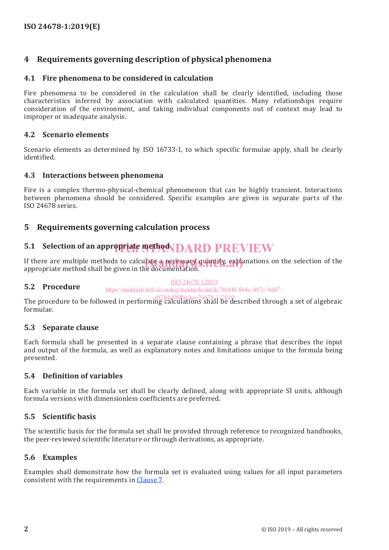### **4 Requirements governing description of physical phenomena**

#### **4.1 Fire phenomena to be considered in calculation**

Fire phenomena to be considered in the calculation shall be clearly identified, including those characteristics inferred by association with calculated quantities. Many relationships require consideration of the environment, and taking individual components out of context may lead to improper or inadequate analysis.

#### **4.2 Scenario elements**

Scenario elements as determined by ISO 16733-1, to which specific formulae apply, shall be clearly identified.

#### **4.3 Interactions between phenomena**

Fire is a complex thermo-physical-chemical phenomenon that can be highly transient. Interactions between phenomena should be considered. Specific examples are given in separate parts of the ISO 24678 series.

#### **5 Requirements governing calculation process**

## **5.1 Selection of an appropriate method DARD PREVIEW**

If there are multiple methods to calculate a necessary quantity, explanations on the selection of the<br>appropriate method shall be given in the documentation. appropriate method shall be given in the documentation.

#### **5.2 Procedure** ISO 24678-1:2019 https://standards.iteh.ai/catalog/standards/sist/dc7868f4-8b4c-487c-9d47-

The procedure to be followed in performing calculations shall be described through a set of algebraic formulae. e024da58ff6e/iso-24678-1-2019

#### **5.3 Separate clause**

Each formula shall be presented in a separate clause containing a phrase that describes the input and output of the formula, as well as explanatory notes and limitations unique to the formula being presented.

#### **5.4 Definition of variables**

Each variable in the formula set shall be clearly defined, along with appropriate SI units, although formula versions with dimensionless coefficients are preferred.

#### **5.5 Scientific basis**

The scientific basis for the formula set shall be provided through reference to recognized handbooks, the peer-reviewed scientific literature or through derivations, as appropriate.

#### **5.6 Examples**

Examples shall demonstrate how the formula set is evaluated using values for all input parameters consistent with the requirements in Clause 7.